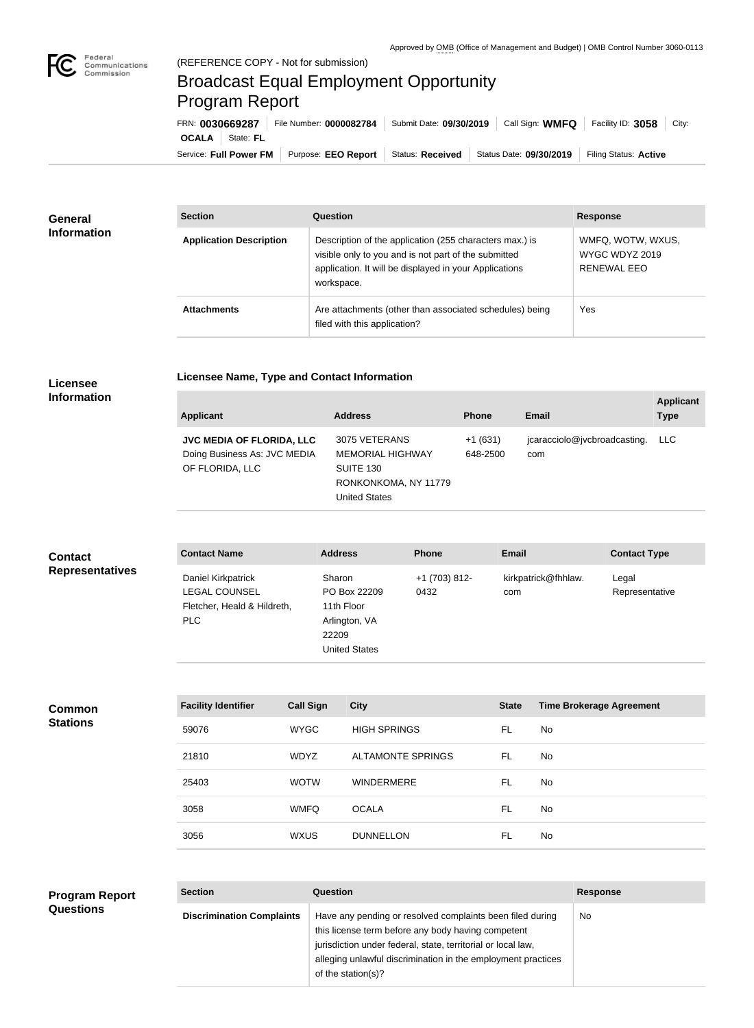

 $\overline{\phantom{a}}$ 

## Broadcast Equal Employment Opportunity Program Report

**Licensee Name, Type and Contact Information**

Service: Full Power FM Purpose: EEO Report | Status: Received | Status Date: 09/30/2019 | Filing Status: Active **OCALA** | State: FL FRN: **0030669287** File Number: **0000082784** Submit Date: **09/30/2019** Call Sign: **WMFQ** Facility ID: **3058** City:

| <b>General</b><br><b>Information</b> | <b>Section</b>                 | Question                                                                                                                                                                                | <b>Response</b>                                           |
|--------------------------------------|--------------------------------|-----------------------------------------------------------------------------------------------------------------------------------------------------------------------------------------|-----------------------------------------------------------|
|                                      | <b>Application Description</b> | Description of the application (255 characters max.) is<br>visible only to you and is not part of the submitted<br>application. It will be displayed in your Applications<br>workspace. | WMFQ, WOTW, WXUS,<br>WYGC WDYZ 2019<br><b>RENEWAL EEO</b> |
|                                      | <b>Attachments</b>             | Are attachments (other than associated schedules) being<br>filed with this application?                                                                                                 | Yes                                                       |

## **Licensee Information**

| <b>Applicant</b>                                                                    | <b>Address</b>                                                                                        | <b>Phone</b>          | <b>Email</b>                        | <b>Applicant</b><br><b>Type</b> |
|-------------------------------------------------------------------------------------|-------------------------------------------------------------------------------------------------------|-----------------------|-------------------------------------|---------------------------------|
| <b>JVC MEDIA OF FLORIDA, LLC</b><br>Doing Business As: JVC MEDIA<br>OF FLORIDA, LLC | 3075 VETERANS<br><b>MEMORIAL HIGHWAY</b><br>SUITE 130<br>RONKONKOMA, NY 11779<br><b>United States</b> | $+1(631)$<br>648-2500 | jcaracciolo@jvcbroadcasting.<br>com | <b>LLC</b>                      |

| <b>Contact</b>         | <b>Contact Name</b>                                                               | <b>Address</b>                                                                         | <b>Phone</b>          | <b>Email</b>               | <b>Contact Type</b>     |
|------------------------|-----------------------------------------------------------------------------------|----------------------------------------------------------------------------------------|-----------------------|----------------------------|-------------------------|
| <b>Representatives</b> | Daniel Kirkpatrick<br><b>LEGAL COUNSEL</b><br>Fletcher, Heald & Hildreth,<br>PLC. | Sharon<br>PO Box 22209<br>11th Floor<br>Arlington, VA<br>22209<br><b>United States</b> | +1 (703) 812-<br>0432 | kirkpatrick@fhhlaw.<br>com | Legal<br>Representative |

**Common Stations**

| <b>Facility Identifier</b> | <b>Call Sign</b> | <b>City</b>              | <b>State</b> | <b>Time Brokerage Agreement</b> |
|----------------------------|------------------|--------------------------|--------------|---------------------------------|
| 59076                      | <b>WYGC</b>      | <b>HIGH SPRINGS</b>      | FL           | <b>No</b>                       |
| 21810                      | <b>WDYZ</b>      | <b>ALTAMONTE SPRINGS</b> | FL.          | <b>No</b>                       |
| 25403                      | <b>WOTW</b>      | <b>WINDERMERE</b>        | FL           | <b>No</b>                       |
| 3058                       | <b>WMFQ</b>      | <b>OCALA</b>             | FL           | No                              |
| 3056                       | <b>WXUS</b>      | <b>DUNNELLON</b>         | FL           | <b>No</b>                       |

## **Program Report Questions**

## **Section Question Response Discrimination Complaints** | Have any pending or resolved complaints been filed during this license term before any body having competent jurisdiction under federal, state, territorial or local law, alleging unlawful discrimination in the employment practices of the station(s)? No